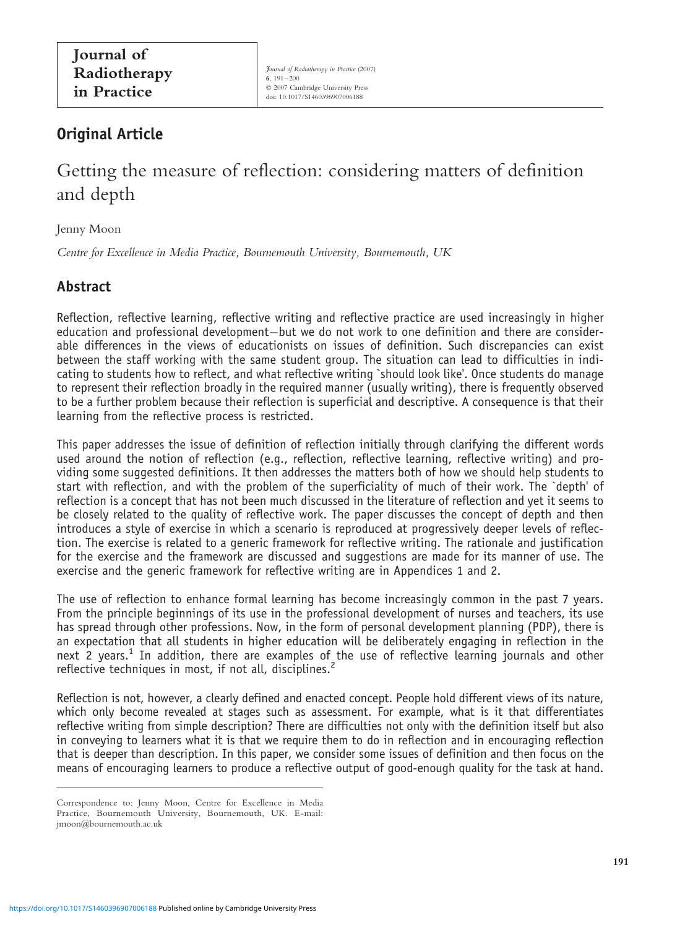Journal of Radiotherapy in Practice (2007) 6,  $191 - 200$  2007 Cambridge University Press doi: 10.1017/S1460396907006188

## Original Article

# Getting the measure of reflection: considering matters of definition and depth

Jenny Moon

Centre for Excellence in Media Practice, Bournemouth University, Bournemouth, UK

### Abstract

Reflection, reflective learning, reflective writing and reflective practice are used increasingly in higher education and professional development—but we do not work to one definition and there are considerable differences in the views of educationists on issues of definition. Such discrepancies can exist between the staff working with the same student group. The situation can lead to difficulties in indicating to students how to reflect, and what reflective writing 'should look like'. Once students do manage to represent their reflection broadly in the required manner (usually writing), there is frequently observed to be a further problem because their reflection is superficial and descriptive. A consequence is that their learning from the reflective process is restricted.

This paper addresses the issue of definition of reflection initially through clarifying the different words used around the notion of reflection (e.g., reflection, reflective learning, reflective writing) and providing some suggested definitions. It then addresses the matters both of how we should help students to start with reflection, and with the problem of the superficiality of much of their work. The 'depth' of reflection is a concept that has not been much discussed in the literature of reflection and yet it seems to be closely related to the quality of reflective work. The paper discusses the concept of depth and then introduces a style of exercise in which a scenario is reproduced at progressively deeper levels of reflection. The exercise is related to a generic framework for reflective writing. The rationale and justification for the exercise and the framework are discussed and suggestions are made for its manner of use. The exercise and the generic framework for reflective writing are in Appendices 1 and 2.

The use of reflection to enhance formal learning has become increasingly common in the past 7 years. From the principle beginnings of its use in the professional development of nurses and teachers, its use has spread through other professions. Now, in the form of personal development planning (PDP), there is an expectation that all students in higher education will be deliberately engaging in reflection in the next 2 years.<sup>1</sup> In addition, there are examples of the use of reflective learning journals and other reflective techniques in most, if not all, disciplines.<sup>2</sup>

Reflection is not, however, a clearly defined and enacted concept. People hold different views of its nature, which only become revealed at stages such as assessment. For example, what is it that differentiates reflective writing from simple description? There are difficulties not only with the definition itself but also in conveying to learners what it is that we require them to do in reflection and in encouraging reflection that is deeper than description. In this paper, we consider some issues of definition and then focus on the means of encouraging learners to produce a reflective output of good-enough quality for the task at hand.

Correspondence to: Jenny Moon, Centre for Excellence in Media Practice, Bournemouth University, Bournemouth, UK. E-mail: jmoon@bournemouth.ac.uk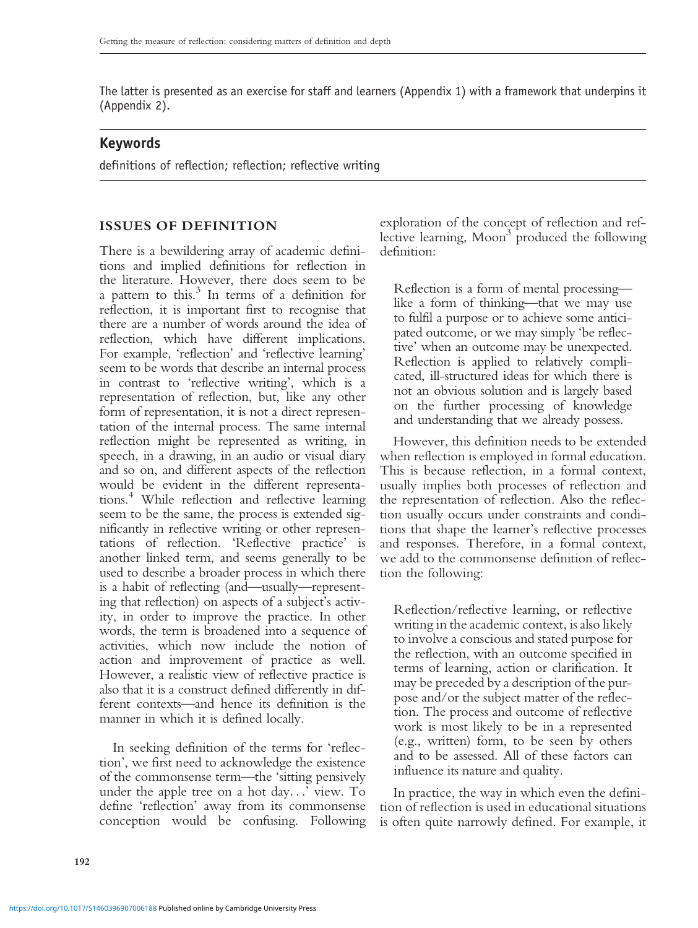The latter is presented as an exercise for staff and learners (Appendix 1) with a framework that underpins it (Appendix 2).

#### Keywords

definitions of reflection; reflection; reflective writing

#### ISSUES OF DEFINITION

There is a bewildering array of academic definitions and implied definitions for reflection in the literature. However, there does seem to be a pattern to this.<sup>3</sup> In terms of a definition for reflection, it is important first to recognise that there are a number of words around the idea of reflection, which have different implications. For example, 'reflection' and 'reflective learning' seem to be words that describe an internal process in contrast to 'reflective writing', which is a representation of reflection, but, like any other form of representation, it is not a direct representation of the internal process. The same internal reflection might be represented as writing, in speech, in a drawing, in an audio or visual diary and so on, and different aspects of the reflection would be evident in the different representations.4 While reflection and reflective learning seem to be the same, the process is extended significantly in reflective writing or other representations of reflection. 'Reflective practice' is another linked term, and seems generally to be used to describe a broader process in which there is a habit of reflecting (and—usually—representing that reflection) on aspects of a subject's activity, in order to improve the practice. In other words, the term is broadened into a sequence of activities, which now include the notion of action and improvement of practice as well. However, a realistic view of reflective practice is also that it is a construct defined differently in different contexts—and hence its definition is the manner in which it is defined locally.

In seeking definition of the terms for 'reflection', we first need to acknowledge the existence of the commonsense term—the 'sitting pensively under the apple tree on a hot day...' view. To define 'reflection' away from its commonsense conception would be confusing. Following exploration of the concept of reflection and reflective learning, Moon<sup>3</sup> produced the following definition:

Reflection is a form of mental processing like a form of thinking—that we may use to fulfil a purpose or to achieve some anticipated outcome, or we may simply 'be reflective' when an outcome may be unexpected. Reflection is applied to relatively complicated, ill-structured ideas for which there is not an obvious solution and is largely based on the further processing of knowledge and understanding that we already possess.

However, this definition needs to be extended when reflection is employed in formal education. This is because reflection, in a formal context, usually implies both processes of reflection and the representation of reflection. Also the reflection usually occurs under constraints and conditions that shape the learner's reflective processes and responses. Therefore, in a formal context, we add to the commonsense definition of reflection the following:

Reflection/reflective learning, or reflective writing in the academic context, is also likely to involve a conscious and stated purpose for the reflection, with an outcome specified in terms of learning, action or clarification. It may be preceded by a description of the purpose and/or the subject matter of the reflection. The process and outcome of reflective work is most likely to be in a represented (e.g., written) form, to be seen by others and to be assessed. All of these factors can influence its nature and quality.

In practice, the way in which even the definition of reflection is used in educational situations is often quite narrowly defined. For example, it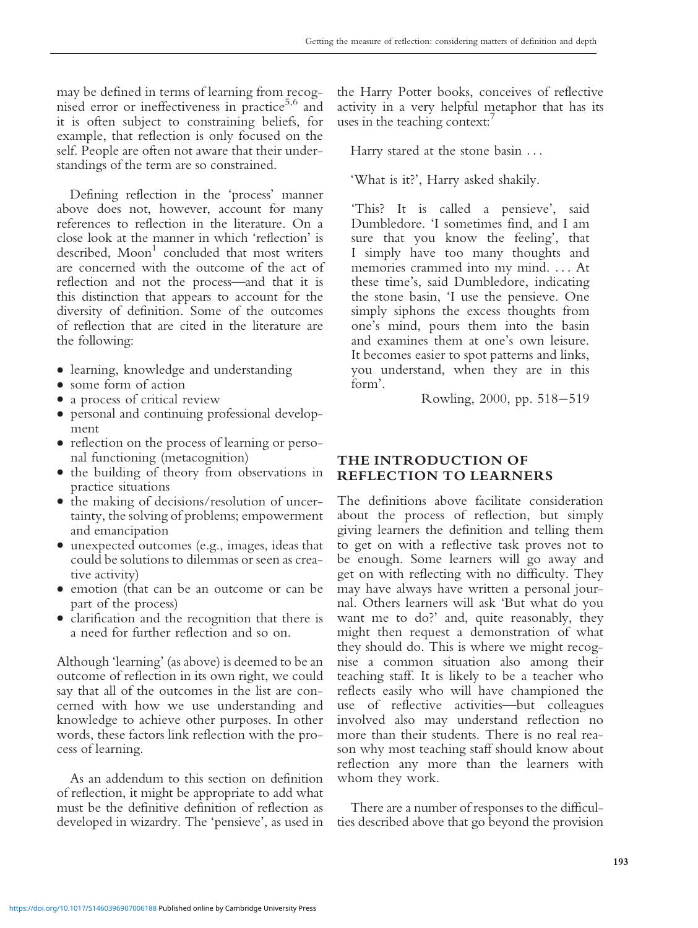may be defined in terms of learning from recognised error or ineffectiveness in practice<sup>5,6</sup> and it is often subject to constraining beliefs, for example, that reflection is only focused on the self. People are often not aware that their understandings of the term are so constrained.

Defining reflection in the 'process' manner above does not, however, account for many references to reflection in the literature. On a close look at the manner in which 'reflection' is described, Moon<sup>1</sup> concluded that most writers are concerned with the outcome of the act of reflection and not the process—and that it is this distinction that appears to account for the diversity of definition. Some of the outcomes of reflection that are cited in the literature are the following:

- learning, knowledge and understanding
- some form of action
- a process of critical review
- personal and continuing professional development
- reflection on the process of learning or personal functioning (metacognition)
- $\bullet$  the building of theory from observations in practice situations
- the making of decisions/resolution of uncertainty, the solving of problems; empowerment and emancipation
- \* unexpected outcomes (e.g., images, ideas that could be solutions to dilemmas or seen as creative activity)
- emotion (that can be an outcome or can be part of the process)
- clarification and the recognition that there is a need for further reflection and so on.

Although 'learning' (as above) is deemed to be an outcome of reflection in its own right, we could say that all of the outcomes in the list are concerned with how we use understanding and knowledge to achieve other purposes. In other words, these factors link reflection with the process of learning.

As an addendum to this section on definition of reflection, it might be appropriate to add what must be the definitive definition of reflection as developed in wizardry. The 'pensieve', as used in

the Harry Potter books, conceives of reflective activity in a very helpful metaphor that has its uses in the teaching context: $\overline{7}$ 

Harry stared at the stone basin ...

'What is it?', Harry asked shakily.

'This? It is called a pensieve', said Dumbledore. 'I sometimes find, and I am sure that you know the feeling', that I simply have too many thoughts and memories crammed into my mind. ... At these time's, said Dumbledore, indicating the stone basin, 'I use the pensieve. One simply siphons the excess thoughts from one's mind, pours them into the basin and examines them at one's own leisure. It becomes easier to spot patterns and links, you understand, when they are in this form'.

Rowling, 2000, pp. 518-519

#### THE INTRODUCTION OF REFLECTION TO LEARNERS

The definitions above facilitate consideration about the process of reflection, but simply giving learners the definition and telling them to get on with a reflective task proves not to be enough. Some learners will go away and get on with reflecting with no difficulty. They may have always have written a personal journal. Others learners will ask 'But what do you want me to do?' and, quite reasonably, they might then request a demonstration of what they should do. This is where we might recognise a common situation also among their teaching staff. It is likely to be a teacher who reflects easily who will have championed the use of reflective activities—but colleagues involved also may understand reflection no more than their students. There is no real reason why most teaching staff should know about reflection any more than the learners with whom they work.

There are a number of responses to the difficulties described above that go beyond the provision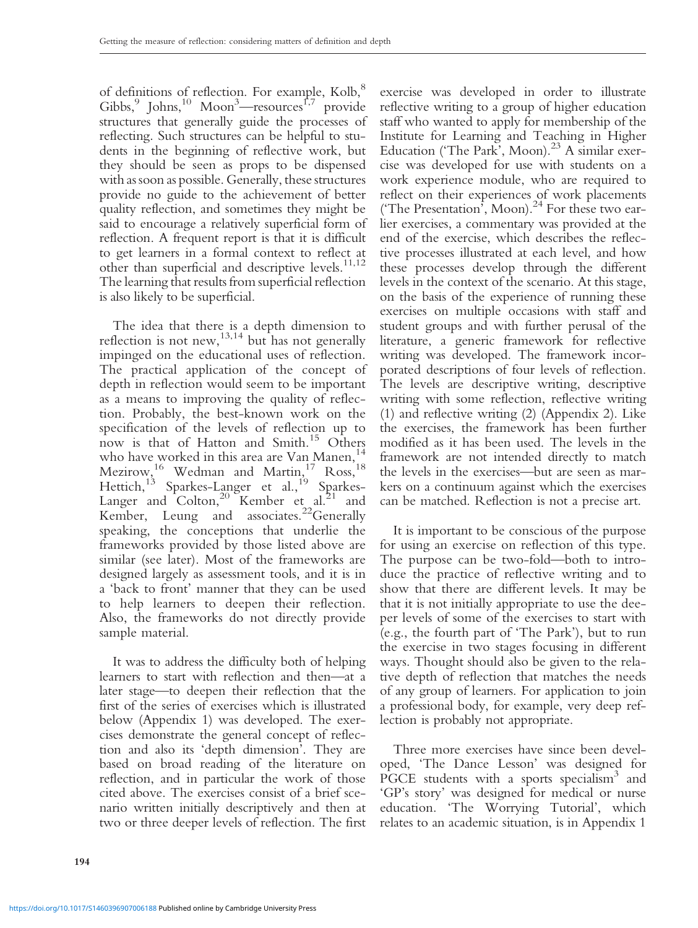of definitions of reflection. For example, Kolb, $^{8}$ Gibbs,<sup>9</sup> Johns,<sup>10</sup> Moon<sup>3</sup>—resources<sup>1,7</sup> provide structures that generally guide the processes of reflecting. Such structures can be helpful to students in the beginning of reflective work, but they should be seen as props to be dispensed with as soon as possible. Generally, these structures provide no guide to the achievement of better quality reflection, and sometimes they might be said to encourage a relatively superficial form of reflection. A frequent report is that it is difficult to get learners in a formal context to reflect at other than superficial and descriptive levels.<sup>11,12</sup> The learning that results from superficial reflection is also likely to be superficial.

The idea that there is a depth dimension to reflection is not new,<sup>13,14</sup> but has not generally impinged on the educational uses of reflection. The practical application of the concept of depth in reflection would seem to be important as a means to improving the quality of reflection. Probably, the best-known work on the specification of the levels of reflection up to now is that of Hatton and Smith.<sup>15</sup> Others who have worked in this area are Van Manen, $^{14}$ Mezirow,  $^{16}$  Wedman and Martin, Ross,  $^{18}$ Hettich,<sup>13</sup> Sparkes-Langer et al.,<sup>19</sup> Sparkes-Langer and  $\text{Colton}^{20}$  Kember et al.<sup>21</sup> and Kember, Leung and associates.<sup>22</sup>Generally speaking, the conceptions that underlie the frameworks provided by those listed above are similar (see later). Most of the frameworks are designed largely as assessment tools, and it is in a 'back to front' manner that they can be used to help learners to deepen their reflection. Also, the frameworks do not directly provide sample material.

It was to address the difficulty both of helping learners to start with reflection and then—at a later stage—to deepen their reflection that the first of the series of exercises which is illustrated below (Appendix 1) was developed. The exercises demonstrate the general concept of reflection and also its 'depth dimension'. They are based on broad reading of the literature on reflection, and in particular the work of those cited above. The exercises consist of a brief scenario written initially descriptively and then at two or three deeper levels of reflection. The first exercise was developed in order to illustrate reflective writing to a group of higher education staff who wanted to apply for membership of the Institute for Learning and Teaching in Higher Education ('The Park', Moon).<sup>23</sup> A similar exercise was developed for use with students on a work experience module, who are required to reflect on their experiences of work placements ('The Presentation', Moon).<sup>24</sup> For these two earlier exercises, a commentary was provided at the end of the exercise, which describes the reflective processes illustrated at each level, and how these processes develop through the different levels in the context of the scenario. At this stage, on the basis of the experience of running these exercises on multiple occasions with staff and student groups and with further perusal of the literature, a generic framework for reflective writing was developed. The framework incorporated descriptions of four levels of reflection. The levels are descriptive writing, descriptive writing with some reflection, reflective writing (1) and reflective writing (2) (Appendix 2). Like the exercises, the framework has been further modified as it has been used. The levels in the framework are not intended directly to match the levels in the exercises—but are seen as markers on a continuum against which the exercises can be matched. Reflection is not a precise art.

It is important to be conscious of the purpose for using an exercise on reflection of this type. The purpose can be two-fold—both to introduce the practice of reflective writing and to show that there are different levels. It may be that it is not initially appropriate to use the deeper levels of some of the exercises to start with (e.g., the fourth part of 'The Park'), but to run the exercise in two stages focusing in different ways. Thought should also be given to the relative depth of reflection that matches the needs of any group of learners. For application to join a professional body, for example, very deep reflection is probably not appropriate.

Three more exercises have since been developed, 'The Dance Lesson' was designed for PGCE students with a sports specialism<sup>3</sup> and 'GP's story' was designed for medical or nurse education. 'The Worrying Tutorial', which relates to an academic situation, is in Appendix 1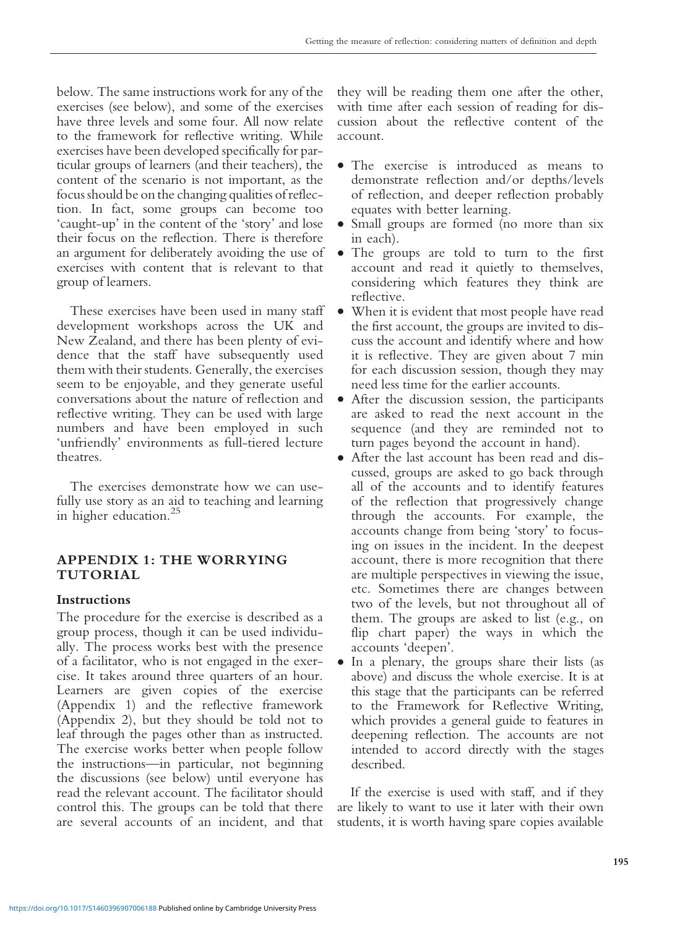below. The same instructions work for any of the exercises (see below), and some of the exercises have three levels and some four. All now relate to the framework for reflective writing. While exercises have been developed specifically for particular groups of learners (and their teachers), the content of the scenario is not important, as the focus should be on the changing qualities of reflection. In fact, some groups can become too 'caught-up' in the content of the 'story' and lose their focus on the reflection. There is therefore an argument for deliberately avoiding the use of exercises with content that is relevant to that group of learners.

These exercises have been used in many staff development workshops across the UK and New Zealand, and there has been plenty of evidence that the staff have subsequently used them with their students. Generally, the exercises seem to be enjoyable, and they generate useful conversations about the nature of reflection and reflective writing. They can be used with large numbers and have been employed in such 'unfriendly' environments as full-tiered lecture theatres.

The exercises demonstrate how we can usefully use story as an aid to teaching and learning in higher education.<sup>25</sup>

#### APPENDIX 1: THE WORRYING TUTORIAL

#### Instructions

The procedure for the exercise is described as a group process, though it can be used individually. The process works best with the presence of a facilitator, who is not engaged in the exercise. It takes around three quarters of an hour. Learners are given copies of the exercise (Appendix 1) and the reflective framework (Appendix 2), but they should be told not to leaf through the pages other than as instructed. The exercise works better when people follow the instructions—in particular, not beginning the discussions (see below) until everyone has read the relevant account. The facilitator should control this. The groups can be told that there are several accounts of an incident, and that they will be reading them one after the other, with time after each session of reading for discussion about the reflective content of the account.

- The exercise is introduced as means to demonstrate reflection and/or depths/levels of reflection, and deeper reflection probably equates with better learning.
- Small groups are formed (no more than six in each).
- The groups are told to turn to the first account and read it quietly to themselves, considering which features they think are reflective.
- When it is evident that most people have read the first account, the groups are invited to discuss the account and identify where and how it is reflective. They are given about 7 min for each discussion session, though they may need less time for the earlier accounts.
- After the discussion session, the participants are asked to read the next account in the sequence (and they are reminded not to turn pages beyond the account in hand).
- After the last account has been read and discussed, groups are asked to go back through all of the accounts and to identify features of the reflection that progressively change through the accounts. For example, the accounts change from being 'story' to focusing on issues in the incident. In the deepest account, there is more recognition that there are multiple perspectives in viewing the issue, etc. Sometimes there are changes between two of the levels, but not throughout all of them. The groups are asked to list (e.g., on flip chart paper) the ways in which the accounts 'deepen'.
- In a plenary, the groups share their lists (as above) and discuss the whole exercise. It is at this stage that the participants can be referred to the Framework for Reflective Writing, which provides a general guide to features in deepening reflection. The accounts are not intended to accord directly with the stages described.

If the exercise is used with staff, and if they are likely to want to use it later with their own students, it is worth having spare copies available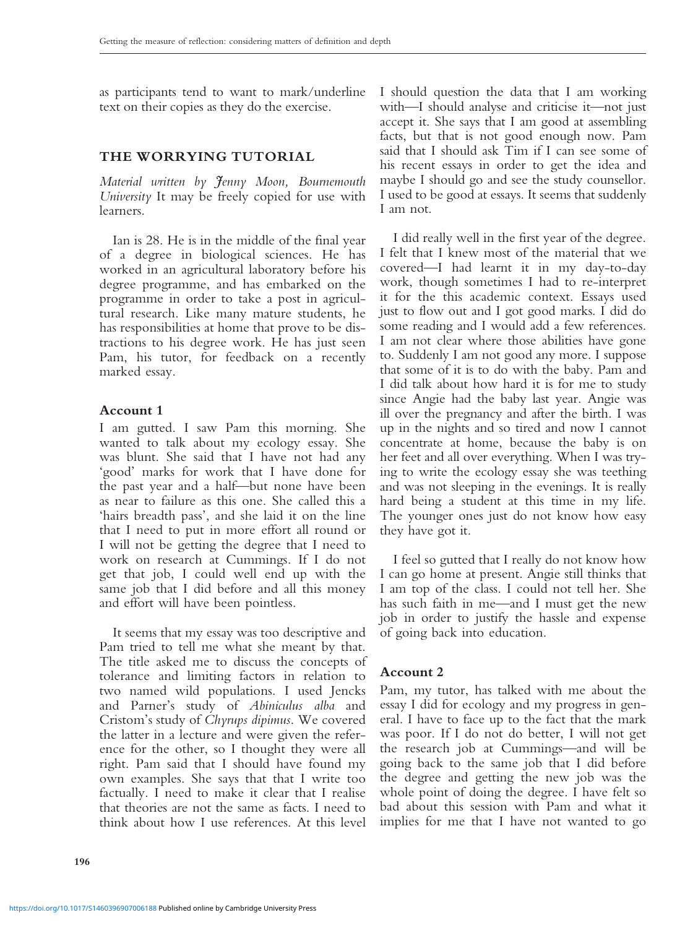as participants tend to want to mark/underline text on their copies as they do the exercise.

#### THE WORRYING TUTORIAL

Material written by Jenny Moon, Bournemouth University It may be freely copied for use with learners.

Ian is 28. He is in the middle of the final year of a degree in biological sciences. He has worked in an agricultural laboratory before his degree programme, and has embarked on the programme in order to take a post in agricultural research. Like many mature students, he has responsibilities at home that prove to be distractions to his degree work. He has just seen Pam, his tutor, for feedback on a recently marked essay.

#### Account 1

I am gutted. I saw Pam this morning. She wanted to talk about my ecology essay. She was blunt. She said that I have not had any 'good' marks for work that I have done for the past year and a half—but none have been as near to failure as this one. She called this a 'hairs breadth pass', and she laid it on the line that I need to put in more effort all round or I will not be getting the degree that I need to work on research at Cummings. If I do not get that job, I could well end up with the same job that I did before and all this money and effort will have been pointless.

It seems that my essay was too descriptive and Pam tried to tell me what she meant by that. The title asked me to discuss the concepts of tolerance and limiting factors in relation to two named wild populations. I used Jencks and Parner's study of Abiniculus alba and Cristom's study of Chyrups dipimus. We covered the latter in a lecture and were given the reference for the other, so I thought they were all right. Pam said that I should have found my own examples. She says that that I write too factually. I need to make it clear that I realise that theories are not the same as facts. I need to think about how I use references. At this level

I should question the data that I am working with—I should analyse and criticise it—not just accept it. She says that I am good at assembling facts, but that is not good enough now. Pam said that I should ask Tim if I can see some of his recent essays in order to get the idea and maybe I should go and see the study counsellor. I used to be good at essays. It seems that suddenly I am not.

I did really well in the first year of the degree. I felt that I knew most of the material that we covered—I had learnt it in my day-to-day work, though sometimes I had to re-interpret it for the this academic context. Essays used just to flow out and I got good marks. I did do some reading and I would add a few references. I am not clear where those abilities have gone to. Suddenly I am not good any more. I suppose that some of it is to do with the baby. Pam and I did talk about how hard it is for me to study since Angie had the baby last year. Angie was ill over the pregnancy and after the birth. I was up in the nights and so tired and now I cannot concentrate at home, because the baby is on her feet and all over everything. When I was trying to write the ecology essay she was teething and was not sleeping in the evenings. It is really hard being a student at this time in my life. The younger ones just do not know how easy they have got it.

I feel so gutted that I really do not know how I can go home at present. Angie still thinks that I am top of the class. I could not tell her. She has such faith in me—and I must get the new job in order to justify the hassle and expense of going back into education.

#### Account 2

Pam, my tutor, has talked with me about the essay I did for ecology and my progress in general. I have to face up to the fact that the mark was poor. If I do not do better, I will not get the research job at Cummings—and will be going back to the same job that I did before the degree and getting the new job was the whole point of doing the degree. I have felt so bad about this session with Pam and what it implies for me that I have not wanted to go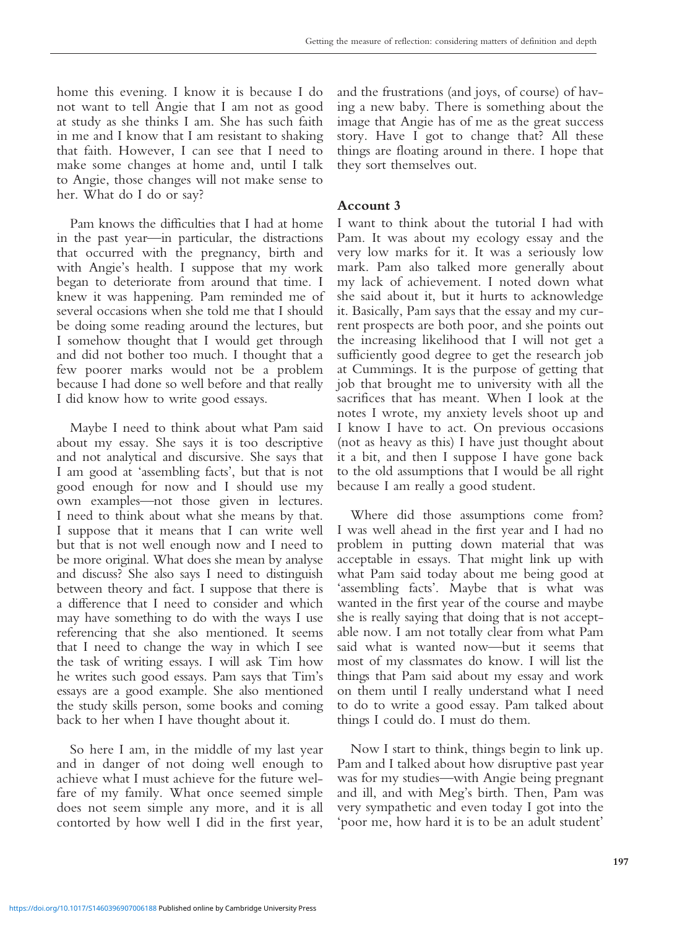home this evening. I know it is because I do not want to tell Angie that I am not as good at study as she thinks I am. She has such faith in me and I know that I am resistant to shaking that faith. However, I can see that I need to make some changes at home and, until I talk to Angie, those changes will not make sense to her. What do I do or say?

Pam knows the difficulties that I had at home in the past year—in particular, the distractions that occurred with the pregnancy, birth and with Angie's health. I suppose that my work began to deteriorate from around that time. I knew it was happening. Pam reminded me of several occasions when she told me that I should be doing some reading around the lectures, but I somehow thought that I would get through and did not bother too much. I thought that a few poorer marks would not be a problem because I had done so well before and that really I did know how to write good essays.

Maybe I need to think about what Pam said about my essay. She says it is too descriptive and not analytical and discursive. She says that I am good at 'assembling facts', but that is not good enough for now and I should use my own examples—not those given in lectures. I need to think about what she means by that. I suppose that it means that I can write well but that is not well enough now and I need to be more original. What does she mean by analyse and discuss? She also says I need to distinguish between theory and fact. I suppose that there is a difference that I need to consider and which may have something to do with the ways I use referencing that she also mentioned. It seems that I need to change the way in which I see the task of writing essays. I will ask Tim how he writes such good essays. Pam says that Tim's essays are a good example. She also mentioned the study skills person, some books and coming back to her when I have thought about it.

So here I am, in the middle of my last year and in danger of not doing well enough to achieve what I must achieve for the future welfare of my family. What once seemed simple does not seem simple any more, and it is all contorted by how well I did in the first year,

and the frustrations (and joys, of course) of having a new baby. There is something about the image that Angie has of me as the great success story. Have I got to change that? All these things are floating around in there. I hope that they sort themselves out.

#### Account 3

I want to think about the tutorial I had with Pam. It was about my ecology essay and the very low marks for it. It was a seriously low mark. Pam also talked more generally about my lack of achievement. I noted down what she said about it, but it hurts to acknowledge it. Basically, Pam says that the essay and my current prospects are both poor, and she points out the increasing likelihood that I will not get a sufficiently good degree to get the research job at Cummings. It is the purpose of getting that job that brought me to university with all the sacrifices that has meant. When I look at the notes I wrote, my anxiety levels shoot up and I know I have to act. On previous occasions (not as heavy as this) I have just thought about it a bit, and then I suppose I have gone back to the old assumptions that I would be all right because I am really a good student.

Where did those assumptions come from? I was well ahead in the first year and I had no problem in putting down material that was acceptable in essays. That might link up with what Pam said today about me being good at 'assembling facts'. Maybe that is what was wanted in the first year of the course and maybe she is really saying that doing that is not acceptable now. I am not totally clear from what Pam said what is wanted now—but it seems that most of my classmates do know. I will list the things that Pam said about my essay and work on them until I really understand what I need to do to write a good essay. Pam talked about things I could do. I must do them.

Now I start to think, things begin to link up. Pam and I talked about how disruptive past year was for my studies—with Angie being pregnant and ill, and with Meg's birth. Then, Pam was very sympathetic and even today I got into the 'poor me, how hard it is to be an adult student'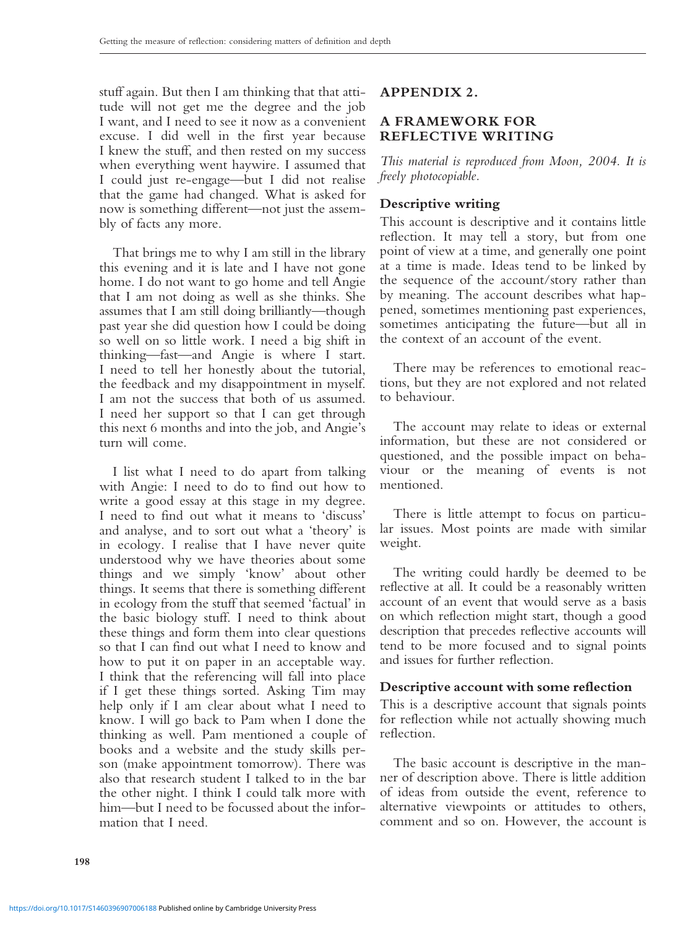stuff again. But then I am thinking that that attitude will not get me the degree and the job I want, and I need to see it now as a convenient excuse. I did well in the first year because I knew the stuff, and then rested on my success when everything went haywire. I assumed that I could just re-engage—but I did not realise that the game had changed. What is asked for now is something different—not just the assembly of facts any more.

That brings me to why I am still in the library this evening and it is late and I have not gone home. I do not want to go home and tell Angie that I am not doing as well as she thinks. She assumes that I am still doing brilliantly—though past year she did question how I could be doing so well on so little work. I need a big shift in thinking—fast—and Angie is where I start. I need to tell her honestly about the tutorial, the feedback and my disappointment in myself. I am not the success that both of us assumed. I need her support so that I can get through this next 6 months and into the job, and Angie's turn will come.

I list what I need to do apart from talking with Angie: I need to do to find out how to write a good essay at this stage in my degree. I need to find out what it means to 'discuss' and analyse, and to sort out what a 'theory' is in ecology. I realise that I have never quite understood why we have theories about some things and we simply 'know' about other things. It seems that there is something different in ecology from the stuff that seemed 'factual' in the basic biology stuff. I need to think about these things and form them into clear questions so that I can find out what I need to know and how to put it on paper in an acceptable way. I think that the referencing will fall into place if I get these things sorted. Asking Tim may help only if I am clear about what I need to know. I will go back to Pam when I done the thinking as well. Pam mentioned a couple of books and a website and the study skills person (make appointment tomorrow). There was also that research student I talked to in the bar the other night. I think I could talk more with him—but I need to be focussed about the information that I need.

#### APPENDIX 2.

#### A FRAMEWORK FOR REFLECTIVE WRITING

This material is reproduced from Moon, 2004. It is freely photocopiable.

#### Descriptive writing

This account is descriptive and it contains little reflection. It may tell a story, but from one point of view at a time, and generally one point at a time is made. Ideas tend to be linked by the sequence of the account/story rather than by meaning. The account describes what happened, sometimes mentioning past experiences, sometimes anticipating the future—but all in the context of an account of the event.

There may be references to emotional reactions, but they are not explored and not related to behaviour.

The account may relate to ideas or external information, but these are not considered or questioned, and the possible impact on behaviour or the meaning of events is not mentioned.

There is little attempt to focus on particular issues. Most points are made with similar weight.

The writing could hardly be deemed to be reflective at all. It could be a reasonably written account of an event that would serve as a basis on which reflection might start, though a good description that precedes reflective accounts will tend to be more focused and to signal points and issues for further reflection.

#### Descriptive account with some reflection

This is a descriptive account that signals points for reflection while not actually showing much reflection.

The basic account is descriptive in the manner of description above. There is little addition of ideas from outside the event, reference to alternative viewpoints or attitudes to others, comment and so on. However, the account is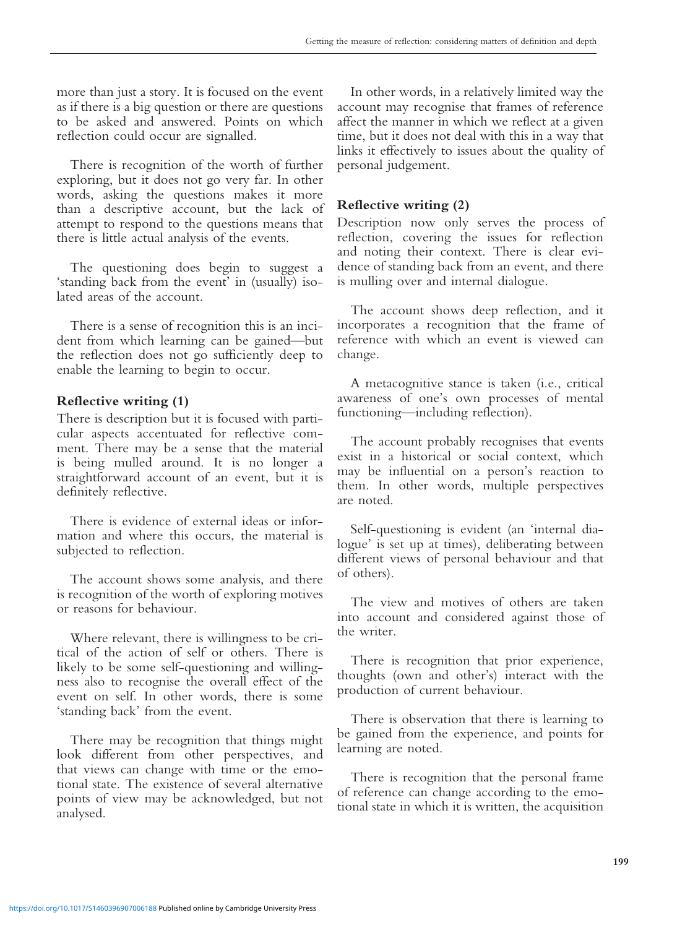more than just a story. It is focused on the event as if there is a big question or there are questions to be asked and answered. Points on which reflection could occur are signalled.

There is recognition of the worth of further exploring, but it does not go very far. In other words, asking the questions makes it more than a descriptive account, but the lack of attempt to respond to the questions means that there is little actual analysis of the events.

The questioning does begin to suggest a 'standing back from the event' in (usually) isolated areas of the account.

There is a sense of recognition this is an incident from which learning can be gained—but the reflection does not go sufficiently deep to enable the learning to begin to occur.

#### Reflective writing (1)

There is description but it is focused with particular aspects accentuated for reflective comment. There may be a sense that the material is being mulled around. It is no longer a straightforward account of an event, but it is definitely reflective.

There is evidence of external ideas or information and where this occurs, the material is subjected to reflection.

The account shows some analysis, and there is recognition of the worth of exploring motives or reasons for behaviour.

Where relevant, there is willingness to be critical of the action of self or others. There is likely to be some self-questioning and willingness also to recognise the overall effect of the event on self. In other words, there is some 'standing back' from the event.

There may be recognition that things might look different from other perspectives, and that views can change with time or the emotional state. The existence of several alternative points of view may be acknowledged, but not analysed.

In other words, in a relatively limited way the account may recognise that frames of reference affect the manner in which we reflect at a given time, but it does not deal with this in a way that links it effectively to issues about the quality of personal judgement.

#### Reflective writing (2)

Description now only serves the process of reflection, covering the issues for reflection and noting their context. There is clear evidence of standing back from an event, and there is mulling over and internal dialogue.

The account shows deep reflection, and it incorporates a recognition that the frame of reference with which an event is viewed can change.

A metacognitive stance is taken (i.e., critical awareness of one's own processes of mental functioning—including reflection).

The account probably recognises that events exist in a historical or social context, which may be influential on a person's reaction to them. In other words, multiple perspectives are noted.

Self-questioning is evident (an 'internal dialogue' is set up at times), deliberating between different views of personal behaviour and that of others).

The view and motives of others are taken into account and considered against those of the writer.

There is recognition that prior experience, thoughts (own and other's) interact with the production of current behaviour.

There is observation that there is learning to be gained from the experience, and points for learning are noted.

There is recognition that the personal frame of reference can change according to the emotional state in which it is written, the acquisition